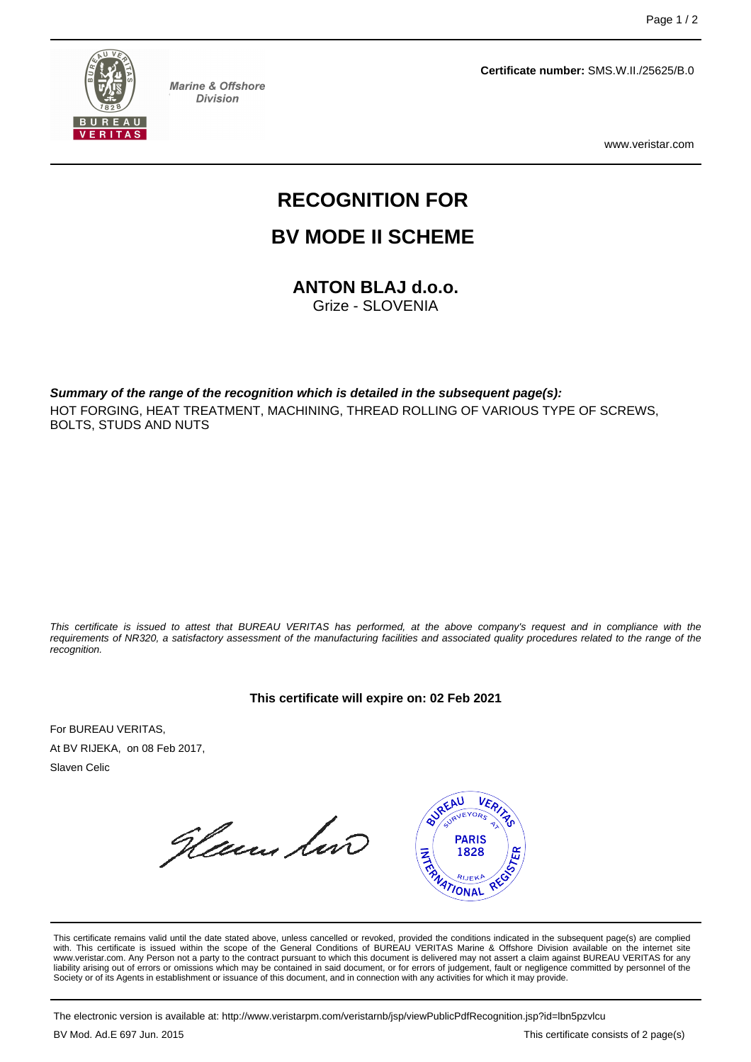

**Marine & Offshore Division** 

**Certificate number:** SMS.W.II./25625/B.0

www.veristar.com

# **RECOGNITION FOR**

## **BV MODE II SCHEME**

**ANTON BLAJ d.o.o.** Grize - SLOVENIA

**Summary of the range of the recognition which is detailed in the subsequent page(s):** HOT FORGING, HEAT TREATMENT, MACHINING, THREAD ROLLING OF VARIOUS TYPE OF SCREWS, BOLTS, STUDS AND NUTS

This certificate is issued to attest that BUREAU VERITAS has performed, at the above company's request and in compliance with the requirements of NR320, a satisfactory assessment of the manufacturing facilities and associated quality procedures related to the range of the recognition.

**This certificate will expire on: 02 Feb 2021**

For BUREAU VERITAS, At BV RIJEKA, on 08 Feb 2017, Slaven Celic

Henn lin



This certificate remains valid until the date stated above, unless cancelled or revoked, provided the conditions indicated in the subsequent page(s) are complied with. This certificate is issued within the scope of the General Conditions of BUREAU VERITAS Marine & Offshore Division available on the internet site www.veristar.com. Any Person not a party to the contract pursuant to which this document is delivered may not assert a claim against BUREAU VERITAS for any liability arising out of errors or omissions which may be contained in said document, or for errors of judgement, fault or negligence committed by personnel of the<br>Society or of its Agents in establishment or issuance of t